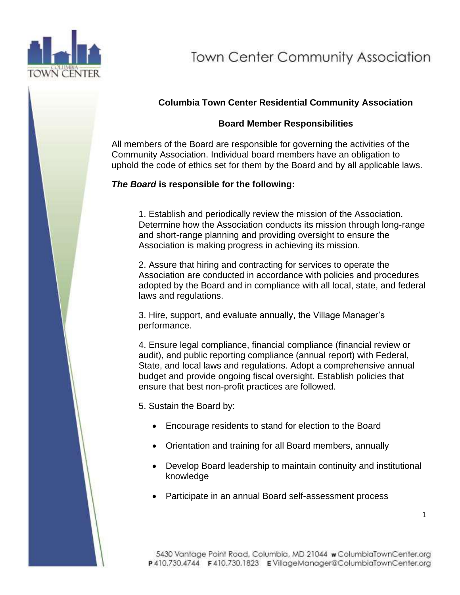

# **Town Center Community Association**

### **Columbia Town Center Residential Community Association**

#### **Board Member Responsibilities**

All members of the Board are responsible for governing the activities of the Community Association. Individual board members have an obligation to uphold the code of ethics set for them by the Board and by all applicable laws.

#### *The Board* **is responsible for the following:**

1. Establish and periodically review the mission of the Association. Determine how the Association conducts its mission through long-range and short-range planning and providing oversight to ensure the Association is making progress in achieving its mission.

2. Assure that hiring and contracting for services to operate the Association are conducted in accordance with policies and procedures adopted by the Board and in compliance with all local, state, and federal laws and regulations.

3. Hire, support, and evaluate annually, the Village Manager's performance.

4. Ensure legal compliance, financial compliance (financial review or audit), and public reporting compliance (annual report) with Federal, State, and local laws and regulations. Adopt a comprehensive annual budget and provide ongoing fiscal oversight. Establish policies that ensure that best non-profit practices are followed.

5. Sustain the Board by:

- Encourage residents to stand for election to the Board
- Orientation and training for all Board members, annually
- Develop Board leadership to maintain continuity and institutional knowledge
- Participate in an annual Board self-assessment process

1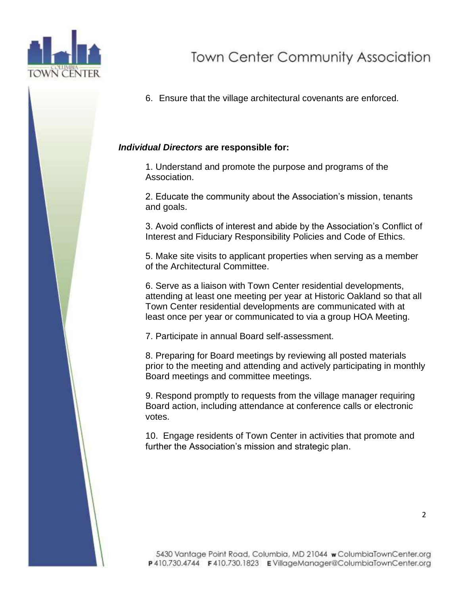

6. Ensure that the village architectural covenants are enforced.

#### *Individual Directors* **are responsible for:**

1. Understand and promote the purpose and programs of the Association.

2. Educate the community about the Association's mission, tenants and goals.

3. Avoid conflicts of interest and abide by the Association's Conflict of Interest and Fiduciary Responsibility Policies and Code of Ethics.

5. Make site visits to applicant properties when serving as a member of the Architectural Committee.

6. Serve as a liaison with Town Center residential developments, attending at least one meeting per year at Historic Oakland so that all Town Center residential developments are communicated with at least once per year or communicated to via a group HOA Meeting.

7. Participate in annual Board self-assessment.

8. Preparing for Board meetings by reviewing all posted materials prior to the meeting and attending and actively participating in monthly Board meetings and committee meetings.

9. Respond promptly to requests from the village manager requiring Board action, including attendance at conference calls or electronic votes.

10. Engage residents of Town Center in activities that promote and further the Association's mission and strategic plan.